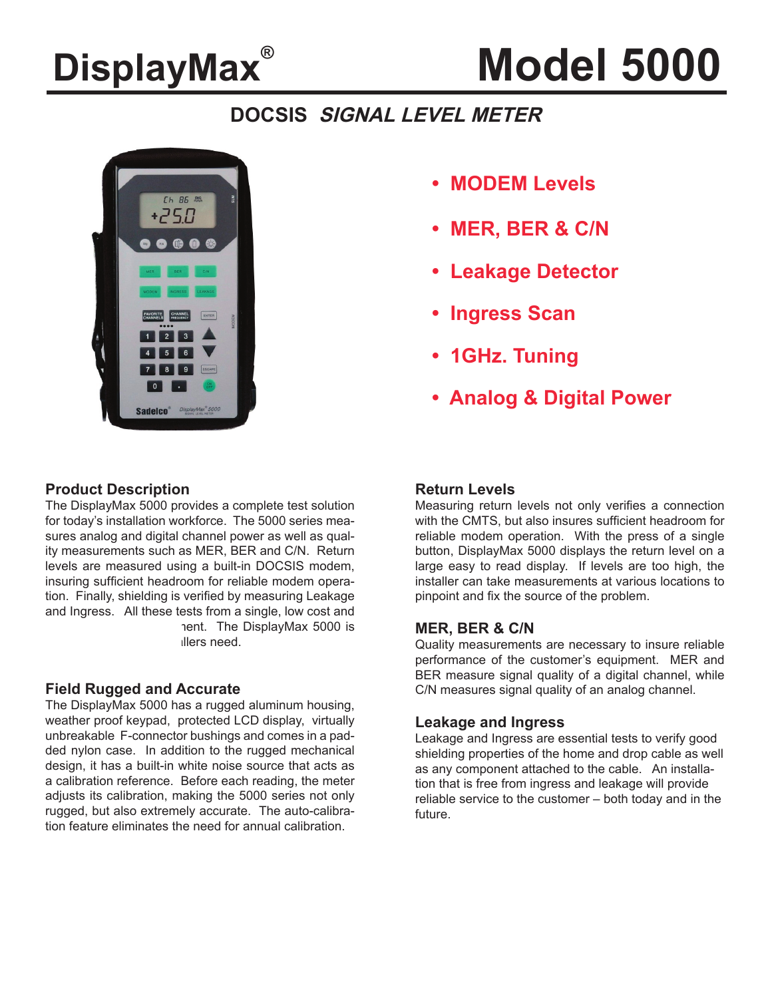## **DisplayMax®**

# **Model 5000**

## **DOCSIS SIGNAL LEVEL METER**



- **MODEM Levels**
- **MER, BER & C/N**
- **Leakage Detector**
- **Ingress Scan**
- **1GHz. Tuning**
- **Analog & Digital Power**

## **Product Description**

The DisplayMax 5000 provides a complete test solution for today's installation workforce. The 5000 series measures analog and digital channel power as well as quality measurements such as MER, BER and C/N. Return levels are measured using a built-in DOCSIS modem, insuring sufficient headroom for reliable modem operation. Finally, shielding is verified by measuring Leakage and Ingress. All these tests from a single, low cost and nent. The DisplayMax 5000 is illers need.

### **Field Rugged and Accurate**

The DisplayMax 5000 has a rugged aluminum housing, weather proof keypad, protected LCD display, virtually unbreakable F-connector bushings and comes in a padded nylon case. In addition to the rugged mechanical design, it has a built-in white noise source that acts as a calibration reference. Before each reading, the meter adjusts its calibration, making the 5000 series not only rugged, but also extremely accurate. The auto-calibration feature eliminates the need for annual calibration.

## **Return Levels**

Measuring return levels not only verifies a connection with the CMTS, but also insures sufficient headroom for reliable modem operation. With the press of a single button, DisplayMax 5000 displays the return level on a large easy to read display. If levels are too high, the installer can take measurements at various locations to pinpoint and fix the source of the problem.

## **MER, BER & C/N**

Quality measurements are necessary to insure reliable performance of the customer's equipment. MER and BER measure signal quality of a digital channel, while C/N measures signal quality of an analog channel.

### **Leakage and Ingress**

Leakage and Ingress are essential tests to verify good shielding properties of the home and drop cable as well as any component attached to the cable. An installation that is free from ingress and leakage will provide reliable service to the customer – both today and in the future.